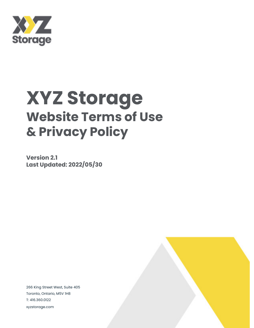

## **XYZ Storage Website Terms of Use & Privacy Policy**

**Version 2.1 Last Updated: 2022/05/30**

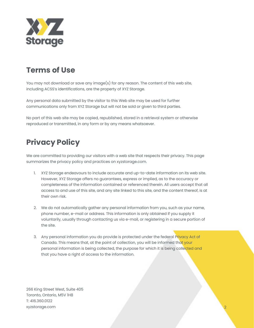

## **Terms of Use**

You may not download or save any image(s) for any reason. The content of this web site, including ACSS's identifications, are the property of XYZ Storage.

Any personal data submitted by the visitor to this Web site may be used for further communications only from XYZ Storage but will not be sold or given to third parties.

No part of this web site may be copied, republished, stored in a retrieval system or otherwise reproduced or transmitted, in any form or by any means whatsoever.

## **Privacy Policy**

We are committed to providing our visitors with a web site that respects their privacy. This page summarizes the privacy policy and practices on xyzstorage.com.

- 1. XYZ Storage endeavours to include accurate and up-to-date information on its web site. However, XYZ Storage offers no guarantees, express or implied, as to the accuracy or completeness of the information contained or referenced therein. All users accept that all access to and use of this site, and any site linked to this site, and the content thereof, is at their own risk.
- 2. We do not automatically gather any personal information from you, such as your name, phone number, e-mail or address. This information is only obtained if you supply it voluntarily, usually through contacting us via e-mail, or registering in a secure portion of the site.
- 3. Any personal information you do provide is protected under the federal Privacy Act of Canada. This means that, at the point of collection, you will be informed that your personal information is being collected, the purpose for which it is being collected and that you have a right of access to the information.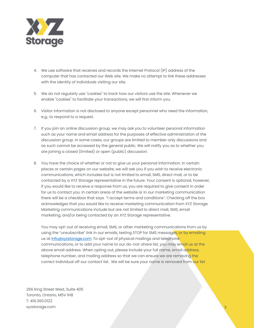

- 4. We use software that receives and records the Internet Protocol (IP) address of the computer that has contacted our Web site. We make no attempt to link these addresses with the identity of individuals visiting our site.
- 5. We do not regularly use "cookies" to track how our visitors use the site. Whenever we enable "cookies" to facilitate your transactions, we will first inform you.
- 6. Visitor information is not disclosed to anyone except personnel who need the information, e.g., to respond to a request.
- 7. If you join an online discussion group, we may ask you to volunteer personal information such as your name and email address for the purposes of effective administration of the discussion group. In some cases, our groups are limited to member only discussions and as such cannot be accessed by the general public. We will notify you as to whether you are joining a closed (limited) or open (public) discussion.
- 8. You have the choice of whether or not to give us your personal information. In certain places or certain pages on our website, we will ask you if you wish to receive electronic communications, which includes but is not limited to email, SMS, direct mail, or to be contacted by a XYZ Storage representative in the future. Your consent is optional, however, if you would like to receive a response from us, you are required to give consent in order for us to contact you. In certain areas of the website or in our marketing communication there will be a checkbox that says "I accept terms and conditions". Checking off the box acknowledges that you would like to receive marketing communication from XYZ Storage. Marketing communications include but are not limited to direct mail, SMS, email marketing, and/or being contacted by an XYZ Storage representative.

You may opt-out of receiving email, SMS, or other marketing communications from us by using the "unsubscribe" link in our emails, texting STOP for SMS messages, or by emailing us at info@xyzstorage.com. To opt-out of physical mailings and telephone communications, or to add your name to our do-not-share list, you may email us at the above email address. When opting out, please include your full name, email address, telephone number, and mailing address so that we can ensure we are removing the correct individual off our contact list. We will be sure your name is removed from our list